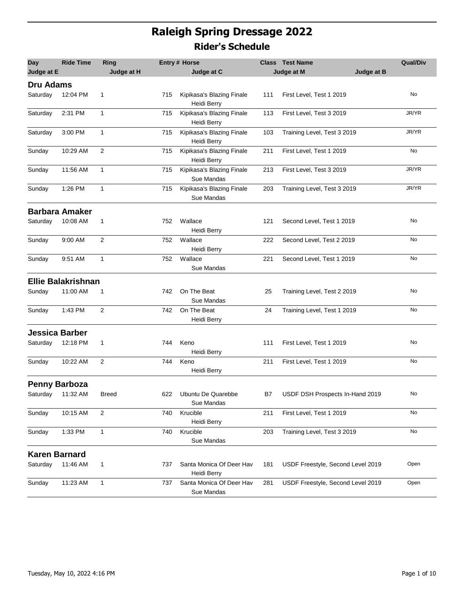## **Raleigh Spring Dressage 2022 Rider's Schedule**

| <b>Day</b>            | <b>Ride Time</b>          | Ring           |     | <b>Entry # Horse</b>                     |     | <b>Class</b> Test Name            | <b>Qual/Div</b> |
|-----------------------|---------------------------|----------------|-----|------------------------------------------|-----|-----------------------------------|-----------------|
| Judge at E            |                           | Judge at H     |     | Judge at C                               |     | Judge at B<br>Judge at M          |                 |
| <b>Dru Adams</b>      |                           |                |     |                                          |     |                                   |                 |
| Saturday              | 12:04 PM                  | 1              | 715 | Kipikasa's Blazing Finale<br>Heidi Berry | 111 | First Level, Test 1 2019          | No              |
| Saturday              | 2:31 PM                   | $\mathbf{1}$   | 715 | Kipikasa's Blazing Finale<br>Heidi Berry | 113 | First Level, Test 3 2019          | JR/YR           |
| Saturday              | 3:00 PM                   | $\mathbf{1}$   | 715 | Kipikasa's Blazing Finale<br>Heidi Berry | 103 | Training Level, Test 3 2019       | JR/YR           |
| Sunday                | 10:29 AM                  | 2              | 715 | Kipikasa's Blazing Finale<br>Heidi Berry | 211 | First Level, Test 1 2019          | No              |
| Sunday                | 11:56 AM                  | $\mathbf{1}$   | 715 | Kipikasa's Blazing Finale<br>Sue Mandas  | 213 | First Level, Test 3 2019          | JR/YR           |
| Sunday                | 1:26 PM                   | 1              | 715 | Kipikasa's Blazing Finale<br>Sue Mandas  | 203 | Training Level, Test 3 2019       | JR/YR           |
|                       | <b>Barbara Amaker</b>     |                |     |                                          |     |                                   |                 |
| Saturday              | 10:08 AM                  | 1              | 752 | Wallace<br>Heidi Berry                   | 121 | Second Level, Test 1 2019         | No              |
| Sunday                | 9:00 AM                   | 2              | 752 | Wallace<br>Heidi Berry                   | 222 | Second Level, Test 2 2019         | No              |
| Sunday                | 9:51 AM                   | $\mathbf{1}$   | 752 | Wallace<br>Sue Mandas                    | 221 | Second Level, Test 1 2019         | No              |
|                       | <b>Ellie Balakrishnan</b> |                |     |                                          |     |                                   |                 |
| Sunday                | 11:00 AM                  | 1              | 742 | On The Beat<br>Sue Mandas                | 25  | Training Level, Test 2 2019       | No              |
| Sunday                | 1:43 PM                   | 2              | 742 | On The Beat<br>Heidi Berry               | 24  | Training Level, Test 1 2019       | No              |
| <b>Jessica Barber</b> |                           |                |     |                                          |     |                                   |                 |
| Saturday              | 12:18 PM                  | 1              | 744 | Keno<br>Heidi Berry                      | 111 | First Level, Test 1 2019          | No              |
| Sunday                | 10:22 AM                  | $\overline{2}$ | 744 | Keno<br>Heidi Berry                      | 211 | First Level, Test 1 2019          | No              |
| <b>Penny Barboza</b>  |                           |                |     |                                          |     |                                   |                 |
| Saturday 11:32 AM     |                           | Breed          | 622 | Ubuntu De Quarebbe<br>Sue Mandas         | B7  | USDF DSH Prospects In-Hand 2019   | No              |
| Sunday                | 10:15 AM                  | $\overline{2}$ | 740 | Krucible<br>Heidi Berry                  | 211 | First Level, Test 1 2019          | No              |
| Sunday                | 1:33 PM                   | $\mathbf{1}$   | 740 | Krucible<br>Sue Mandas                   | 203 | Training Level, Test 3 2019       | No              |
| <b>Karen Barnard</b>  |                           |                |     |                                          |     |                                   |                 |
| Saturday              | 11:46 AM                  | 1              | 737 | Santa Monica Of Deer Hav<br>Heidi Berry  | 181 | USDF Freestyle, Second Level 2019 | Open            |
| Sunday                | 11:23 AM                  | 1              | 737 | Santa Monica Of Deer Hav<br>Sue Mandas   | 281 | USDF Freestyle, Second Level 2019 | Open            |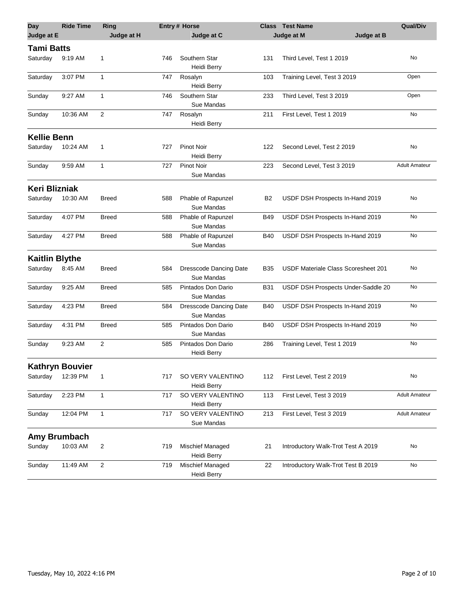| <b>Day</b>            | <b>Ride Time</b>       | Ring         |     | Entry # Horse                               | <b>Class</b> | <b>Test Name</b>                    | <b>Qual/Div</b>      |
|-----------------------|------------------------|--------------|-----|---------------------------------------------|--------------|-------------------------------------|----------------------|
| Judge at E            |                        | Judge at H   |     | Judge at C                                  |              | Judge at B<br>Judge at M            |                      |
| <b>Tami Batts</b>     |                        |              |     |                                             |              |                                     |                      |
| Saturday              | 9:19 AM                | 1            | 746 | Southern Star<br>Heidi Berry                | 131          | Third Level, Test 1 2019            | No                   |
| Saturday              | 3:07 PM                | 1            | 747 | Rosalyn<br>Heidi Berry                      | 103          | Training Level, Test 3 2019         | Open                 |
| Sunday                | 9:27 AM                | $\mathbf{1}$ | 746 | Southern Star<br>Sue Mandas                 | 233          | Third Level, Test 3 2019            | Open                 |
| Sunday                | 10:36 AM               | 2            | 747 | Rosalyn<br>Heidi Berry                      | 211          | First Level, Test 1 2019            | No                   |
| <b>Kellie Benn</b>    |                        |              |     |                                             |              |                                     |                      |
| Saturday              | 10:24 AM               | 1            | 727 | Pinot Noir<br>Heidi Berry                   | 122          | Second Level, Test 2 2019           | No                   |
| Sunday                | 9:59 AM                | 1            | 727 | <b>Pinot Noir</b><br>Sue Mandas             | 223          | Second Level, Test 3 2019           | <b>Adult Amateur</b> |
| <b>Keri Blizniak</b>  |                        |              |     |                                             |              |                                     |                      |
| Saturday              | 10:30 AM               | <b>Breed</b> | 588 | Phable of Rapunzel<br>Sue Mandas            | B2           | USDF DSH Prospects In-Hand 2019     | No                   |
| Saturday              | 4:07 PM                | <b>Breed</b> | 588 | Phable of Rapunzel<br>Sue Mandas            | <b>B49</b>   | USDF DSH Prospects In-Hand 2019     | No                   |
| Saturday              | 4:27 PM                | <b>Breed</b> | 588 | Phable of Rapunzel<br>Sue Mandas            | <b>B40</b>   | USDF DSH Prospects In-Hand 2019     | No                   |
| <b>Kaitlin Blythe</b> |                        |              |     |                                             |              |                                     |                      |
| Saturday              | 8:45 AM                | <b>Breed</b> | 584 | <b>Dresscode Dancing Date</b><br>Sue Mandas | B35          | USDF Materiale Class Scoresheet 201 | No                   |
| Saturday              | 9:25 AM                | <b>Breed</b> | 585 | Pintados Don Dario<br>Sue Mandas            | <b>B31</b>   | USDF DSH Prospects Under-Saddle 20  | <b>No</b>            |
| Saturday              | 4:23 PM                | <b>Breed</b> | 584 | <b>Dresscode Dancing Date</b><br>Sue Mandas | <b>B40</b>   | USDF DSH Prospects In-Hand 2019     | No                   |
| Saturday              | 4:31 PM                | <b>Breed</b> | 585 | Pintados Don Dario<br>Sue Mandas            | <b>B40</b>   | USDF DSH Prospects In-Hand 2019     | No                   |
| Sunday                | 9:23 AM                | 2            | 585 | Pintados Don Dario<br>Heidi Berry           | 286          | Training Level, Test 1 2019         | No                   |
|                       | <b>Kathryn Bouvier</b> |              |     |                                             |              |                                     |                      |
| Saturday              | 12:39 PM               | $\mathbf 1$  | 717 | SO VERY VALENTINO<br>Heidi Berry            | 112          | First Level, Test 2 2019            | No                   |
| Saturday              | 2:23 PM                | 1            | 717 | SO VERY VALENTINO<br>Heidi Berry            | 113          | First Level, Test 3 2019            | <b>Adult Amateur</b> |
| Sunday                | 12:04 PM               | 1            | 717 | SO VERY VALENTINO<br>Sue Mandas             | 213          | First Level, Test 3 2019            | <b>Adult Amateur</b> |
|                       | Amy Brumbach           |              |     |                                             |              |                                     |                      |
| Sunday                | 10:03 AM               | 2            | 719 | Mischief Managed<br>Heidi Berry             | 21           | Introductory Walk-Trot Test A 2019  | No                   |
| Sunday                | 11:49 AM               | 2            | 719 | Mischief Managed<br>Heidi Berry             | 22           | Introductory Walk-Trot Test B 2019  | No                   |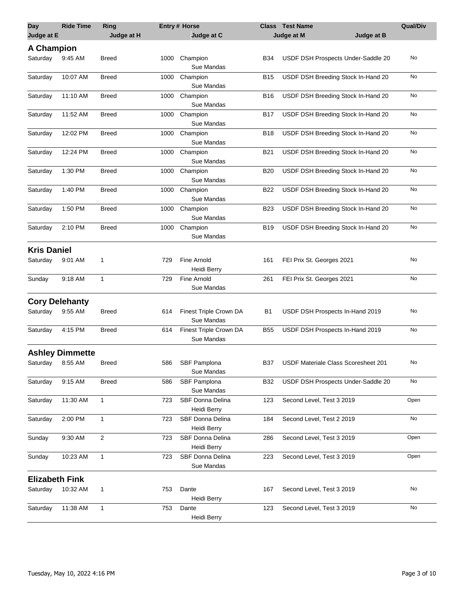| Day                   | <b>Ride Time</b>       | Ring           |      | <b>Entry# Horse</b>                    |            | <b>Class</b> Test Name              | <b>Qual/Div</b> |
|-----------------------|------------------------|----------------|------|----------------------------------------|------------|-------------------------------------|-----------------|
| Judge at E            |                        | Judge at H     |      | Judge at C                             |            | Judge at M<br>Judge at B            |                 |
| <b>A Champion</b>     |                        |                |      |                                        |            |                                     |                 |
| Saturday              | 9:45 AM                | Breed          | 1000 | Champion<br>Sue Mandas                 | <b>B34</b> | USDF DSH Prospects Under-Saddle 20  | No              |
| Saturday              | 10:07 AM               | Breed          | 1000 | Champion<br>Sue Mandas                 | <b>B15</b> | USDF DSH Breeding Stock In-Hand 20  | No              |
| Saturday              | 11:10 AM               | Breed          | 1000 | Champion<br>Sue Mandas                 | B16        | USDF DSH Breeding Stock In-Hand 20  | No              |
| Saturday              | 11:52 AM               | Breed          | 1000 | Champion<br>Sue Mandas                 | <b>B17</b> | USDF DSH Breeding Stock In-Hand 20  | No              |
| Saturday              | 12:02 PM               | Breed          | 1000 | Champion<br>Sue Mandas                 | <b>B18</b> | USDF DSH Breeding Stock In-Hand 20  | No              |
| Saturday              | 12:24 PM               | Breed          | 1000 | Champion<br>Sue Mandas                 | <b>B21</b> | USDF DSH Breeding Stock In-Hand 20  | No              |
| Saturday              | 1:30 PM                | Breed          | 1000 | Champion<br>Sue Mandas                 | <b>B20</b> | USDF DSH Breeding Stock In-Hand 20  | No              |
| Saturday              | 1:40 PM                | Breed          | 1000 | Champion<br>Sue Mandas                 | <b>B22</b> | USDF DSH Breeding Stock In-Hand 20  | No              |
| Saturday              | 1:50 PM                | Breed          | 1000 | Champion<br>Sue Mandas                 | <b>B23</b> | USDF DSH Breeding Stock In-Hand 20  | No              |
| Saturday              | 2:10 PM                | <b>Breed</b>   | 1000 | Champion<br>Sue Mandas                 | <b>B19</b> | USDF DSH Breeding Stock In-Hand 20  | No              |
| <b>Kris Daniel</b>    |                        |                |      |                                        |            |                                     |                 |
| Saturday              | 9:01 AM                | 1              | 729  | Fine Arnold<br>Heidi Berry             | 161        | FEI Prix St. Georges 2021           | No              |
| Sunday                | 9:18 AM                | $\mathbf{1}$   | 729  | <b>Fine Arnold</b><br>Sue Mandas       | 261        | FEI Prix St. Georges 2021           | No              |
|                       | <b>Cory Delehanty</b>  |                |      |                                        |            |                                     |                 |
| Saturday              | 9.55 AM                | Breed          | 614  | Finest Triple Crown DA<br>Sue Mandas   | B1         | USDF DSH Prospects In-Hand 2019     | No              |
| Saturday              | 4:15 PM                | Breed          | 614  | Finest Triple Crown DA<br>Sue Mandas   | <b>B55</b> | USDF DSH Prospects In-Hand 2019     | No              |
|                       | <b>Ashley Dimmette</b> |                |      |                                        |            |                                     |                 |
| Saturday 8:55 AM      |                        | <b>Breed</b>   | 586  | SBF Pamplona<br>Sue Mandas             | <b>B37</b> | USDF Materiale Class Scoresheet 201 | No              |
| Saturday              | 9:15 AM                | <b>Breed</b>   | 586  | SBF Pamplona<br>Sue Mandas             | <b>B32</b> | USDF DSH Prospects Under-Saddle 20  | No              |
| Saturday              | 11:30 AM               | 1              | 723  | <b>SBF Donna Delina</b><br>Heidi Berry | 123        | Second Level, Test 3 2019           | Open            |
| Saturday              | 2:00 PM                | 1              | 723  | SBF Donna Delina<br>Heidi Berry        | 184        | Second Level, Test 2 2019           | No              |
| Sunday                | 9:30 AM                | $\overline{2}$ | 723  | <b>SBF Donna Delina</b><br>Heidi Berry | 286        | Second Level, Test 3 2019           | Open            |
| Sunday                | 10:23 AM               | $\mathbf{1}$   | 723  | <b>SBF Donna Delina</b><br>Sue Mandas  | 223        | Second Level, Test 3 2019           | Open            |
| <b>Elizabeth Fink</b> |                        |                |      |                                        |            |                                     |                 |
| Saturday              | 10:32 AM               | 1              | 753  | Dante<br>Heidi Berry                   | 167        | Second Level, Test 3 2019           | No              |
| Saturday              | 11:38 AM               | $\mathbf{1}$   | 753  | Dante<br>Heidi Berry                   | 123        | Second Level, Test 3 2019           | No              |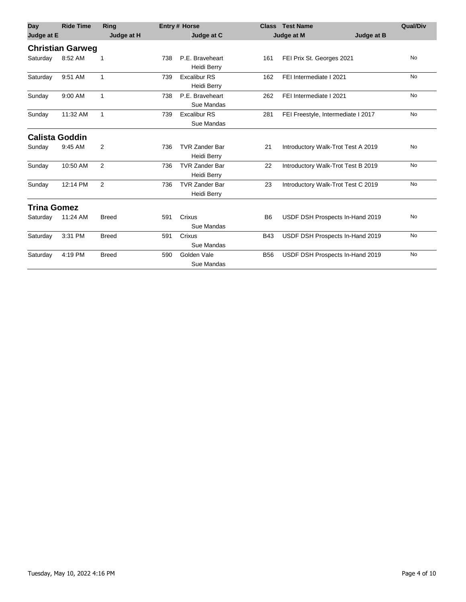| <b>Day</b>            | <b>Ride Time</b>        | Ring           |     | <b>Entry# Horse</b>                  |                | <b>Class Test Name</b>             | <b>Qual/Div</b> |
|-----------------------|-------------------------|----------------|-----|--------------------------------------|----------------|------------------------------------|-----------------|
| Judge at E            |                         | Judge at H     |     | Judge at C                           |                | Judge at M<br>Judge at B           |                 |
|                       | <b>Christian Garweg</b> |                |     |                                      |                |                                    |                 |
| Saturday              | 8:52 AM                 |                | 738 | P.E. Braveheart<br>Heidi Berry       | 161            | FEI Prix St. Georges 2021          | No              |
| Saturday              | 9:51 AM                 | 1              | 739 | Excalibur RS<br>Heidi Berry          | 162            | FEI Intermediate I 2021            | No              |
| Sunday                | 9:00 AM                 | 1              | 738 | P.E. Braveheart<br>Sue Mandas        | 262            | FEI Intermediate I 2021            | <b>No</b>       |
| Sunday                | 11:32 AM                | 1              | 739 | Excalibur RS<br>Sue Mandas           | 281            | FEI Freestyle, Intermediate I 2017 | <b>No</b>       |
| <b>Calista Goddin</b> |                         |                |     |                                      |                |                                    |                 |
| Sunday                | 9:45 AM                 | 2              | 736 | <b>TVR Zander Bar</b><br>Heidi Berry | 21             | Introductory Walk-Trot Test A 2019 | <b>No</b>       |
| Sunday                | 10:50 AM                | 2              | 736 | <b>TVR Zander Bar</b><br>Heidi Berry | 22             | Introductory Walk-Trot Test B 2019 | No              |
| Sunday                | 12:14 PM                | $\overline{2}$ | 736 | <b>TVR Zander Bar</b><br>Heidi Berry | 23             | Introductory Walk-Trot Test C 2019 | No              |
| <b>Trina Gomez</b>    |                         |                |     |                                      |                |                                    |                 |
| Saturday              | 11:24 AM                | <b>Breed</b>   | 591 | Crixus<br>Sue Mandas                 | B <sub>6</sub> | USDF DSH Prospects In-Hand 2019    | No              |
| Saturday              | 3:31 PM                 | <b>Breed</b>   | 591 | Crixus<br>Sue Mandas                 | <b>B43</b>     | USDF DSH Prospects In-Hand 2019    | No              |
| Saturday              | 4:19 PM                 | <b>Breed</b>   | 590 | Golden Vale<br>Sue Mandas            | <b>B56</b>     | USDF DSH Prospects In-Hand 2019    | <b>No</b>       |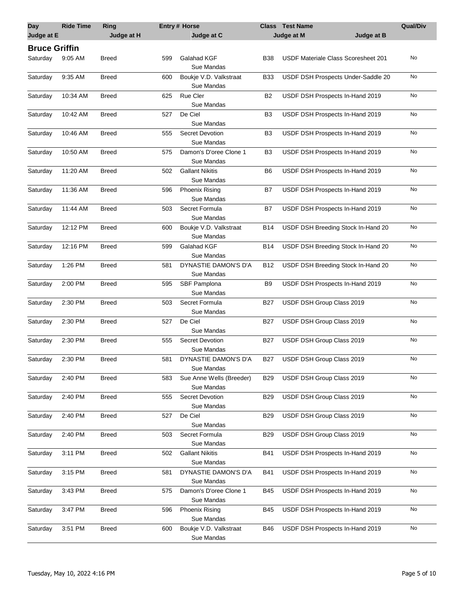| Day<br>Judge at E    | <b>Ride Time</b> | Ring         |     | <b>Entry# Horse</b><br>Judge at C      |                | <b>Class</b> Test Name<br>Judge at M<br>Judge at B | <b>Qual/Div</b> |
|----------------------|------------------|--------------|-----|----------------------------------------|----------------|----------------------------------------------------|-----------------|
|                      |                  | Judge at H   |     |                                        |                |                                                    |                 |
| <b>Bruce Griffin</b> |                  |              |     |                                        |                |                                                    |                 |
| Saturday             | $9:05$ AM        | <b>Breed</b> | 599 | Galahad KGF<br>Sue Mandas              | B38            | USDF Materiale Class Scoresheet 201                | No              |
| Saturday             | 9:35 AM          | <b>Breed</b> | 600 | Boukje V.D. Valkstraat<br>Sue Mandas   | <b>B33</b>     | USDF DSH Prospects Under-Saddle 20                 | No              |
| Saturday             | 10:34 AM         | <b>Breed</b> | 625 | <b>Rue Cler</b><br>Sue Mandas          | B2             | USDF DSH Prospects In-Hand 2019                    | No              |
| Saturday             | 10:42 AM         | <b>Breed</b> | 527 | De Ciel<br>Sue Mandas                  | B <sub>3</sub> | USDF DSH Prospects In-Hand 2019                    | No              |
| Saturday             | 10:46 AM         | <b>Breed</b> | 555 | <b>Secret Devotion</b><br>Sue Mandas   | B3             | USDF DSH Prospects In-Hand 2019                    | No              |
| Saturday             | 10:50 AM         | <b>Breed</b> | 575 | Damon's D'oree Clone 1<br>Sue Mandas   | B <sub>3</sub> | USDF DSH Prospects In-Hand 2019                    | No              |
| Saturday             | 11:20 AM         | <b>Breed</b> | 502 | <b>Gallant Nikitis</b><br>Sue Mandas   | B6             | USDF DSH Prospects In-Hand 2019                    | No              |
| Saturday             | 11:36 AM         | <b>Breed</b> | 596 | <b>Phoenix Rising</b><br>Sue Mandas    | B7             | USDF DSH Prospects In-Hand 2019                    | No              |
| Saturday             | 11:44 AM         | <b>Breed</b> | 503 | Secret Formula<br>Sue Mandas           | B7             | USDF DSH Prospects In-Hand 2019                    | No              |
| Saturday             | 12:12 PM         | <b>Breed</b> | 600 | Boukje V.D. Valkstraat<br>Sue Mandas   | <b>B14</b>     | USDF DSH Breeding Stock In-Hand 20                 | No              |
| Saturday             | 12:16 PM         | <b>Breed</b> | 599 | Galahad KGF<br>Sue Mandas              | B14            | USDF DSH Breeding Stock In-Hand 20                 | No              |
| Saturday             | 1:26 PM          | <b>Breed</b> | 581 | DYNASTIE DAMON'S D'A<br>Sue Mandas     | <b>B12</b>     | USDF DSH Breeding Stock In-Hand 20                 | No              |
| Saturday             | 2:00 PM          | <b>Breed</b> | 595 | SBF Pamplona<br>Sue Mandas             | B9             | USDF DSH Prospects In-Hand 2019                    | No              |
| Saturday             | 2:30 PM          | <b>Breed</b> | 503 | Secret Formula<br>Sue Mandas           | <b>B27</b>     | USDF DSH Group Class 2019                          | No              |
| Saturday             | 2:30 PM          | <b>Breed</b> | 527 | De Ciel<br>Sue Mandas                  | <b>B27</b>     | USDF DSH Group Class 2019                          | No              |
| Saturday             | 2:30 PM          | <b>Breed</b> | 555 | <b>Secret Devotion</b><br>Sue Mandas   | <b>B27</b>     | USDF DSH Group Class 2019                          | No              |
| Saturday             | 2:30 PM          | <b>Breed</b> | 581 | DYNASTIE DAMON'S D'A<br>Sue Mandas     | B27            | USDF DSH Group Class 2019                          | No              |
| Saturday             | 2:40 PM          | <b>Breed</b> | 583 | Sue Anne Wells (Breeder)<br>Sue Mandas | <b>B29</b>     | USDF DSH Group Class 2019                          | No              |
| Saturday             | 2:40 PM          | <b>Breed</b> | 555 | <b>Secret Devotion</b><br>Sue Mandas   | <b>B29</b>     | USDF DSH Group Class 2019                          | No              |
| Saturday             | 2:40 PM          | <b>Breed</b> | 527 | De Ciel<br>Sue Mandas                  | <b>B29</b>     | USDF DSH Group Class 2019                          | No              |
| Saturday             | 2:40 PM          | <b>Breed</b> | 503 | Secret Formula<br>Sue Mandas           | <b>B29</b>     | USDF DSH Group Class 2019                          | No              |
| Saturday             | 3:11 PM          | <b>Breed</b> | 502 | <b>Gallant Nikitis</b><br>Sue Mandas   | <b>B41</b>     | USDF DSH Prospects In-Hand 2019                    | No              |
| Saturday             | 3:15 PM          | <b>Breed</b> | 581 | DYNASTIE DAMON'S D'A<br>Sue Mandas     | <b>B41</b>     | USDF DSH Prospects In-Hand 2019                    | No              |
| Saturday             | 3:43 PM          | <b>Breed</b> | 575 | Damon's D'oree Clone 1<br>Sue Mandas   | B45            | USDF DSH Prospects In-Hand 2019                    | No              |
| Saturday             | 3:47 PM          | <b>Breed</b> | 596 | <b>Phoenix Rising</b><br>Sue Mandas    | B45            | USDF DSH Prospects In-Hand 2019                    | No              |
| Saturday             | 3:51 PM          | <b>Breed</b> | 600 | Boukje V.D. Valkstraat<br>Sue Mandas   | B46            | USDF DSH Prospects In-Hand 2019                    | No              |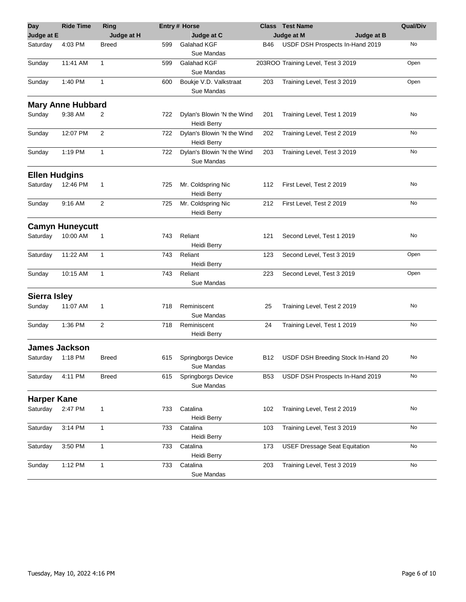| <b>Day</b>           | <b>Ride Time</b>         | Ring           |     | <b>Entry # Horse</b>                      |            | <b>Class</b> Test Name               | <b>Qual/Div</b> |
|----------------------|--------------------------|----------------|-----|-------------------------------------------|------------|--------------------------------------|-----------------|
| Judge at E           |                          | Judge at H     |     | Judge at C                                |            | Judge at B<br>Judge at M             |                 |
| Saturday             | 4:03 PM                  | Breed          | 599 | Galahad KGF<br>Sue Mandas                 | B46        | USDF DSH Prospects In-Hand 2019      | No              |
| Sunday               | 11:41 AM                 | 1              | 599 | Galahad KGF<br>Sue Mandas                 |            | 203ROO Training Level, Test 3 2019   | Open            |
| Sunday               | 1:40 PM                  | 1              | 600 | Boukje V.D. Valkstraat<br>Sue Mandas      | 203        | Training Level, Test 3 2019          | Open            |
|                      | <b>Mary Anne Hubbard</b> |                |     |                                           |            |                                      |                 |
| Sunday               | 9:38 AM                  | 2              | 722 | Dylan's Blowin 'N the Wind<br>Heidi Berry | 201        | Training Level, Test 1 2019          | No              |
| Sunday               | 12:07 PM                 | $\overline{2}$ | 722 | Dylan's Blowin 'N the Wind<br>Heidi Berry | 202        | Training Level, Test 2 2019          | No              |
| Sunday               | 1:19 PM                  | 1              | 722 | Dylan's Blowin 'N the Wind<br>Sue Mandas  | 203        | Training Level, Test 3 2019          | No              |
| <b>Ellen Hudgins</b> |                          |                |     |                                           |            |                                      |                 |
| Saturday             | 12:46 PM                 | 1              | 725 | Mr. Coldspring Nic<br>Heidi Berry         | 112        | First Level, Test 2 2019             | No              |
| Sunday               | 9:16 AM                  | $\overline{2}$ | 725 | Mr. Coldspring Nic<br>Heidi Berry         | 212        | First Level, Test 2 2019             | No              |
|                      | <b>Camyn Huneycutt</b>   |                |     |                                           |            |                                      |                 |
| Saturday             | 10:00 AM                 | 1              | 743 | Reliant<br><b>Heidi Berry</b>             | 121        | Second Level, Test 1 2019            | No              |
| Saturday             | 11:22 AM                 | 1              | 743 | Reliant<br>Heidi Berry                    | 123        | Second Level, Test 3 2019            | Open            |
| Sunday               | 10:15 AM                 | $\mathbf{1}$   | 743 | Reliant<br>Sue Mandas                     | 223        | Second Level, Test 3 2019            | Open            |
| <b>Sierra Isley</b>  |                          |                |     |                                           |            |                                      |                 |
| Sunday               | 11:07 AM                 | 1              | 718 | Reminiscent<br>Sue Mandas                 | 25         | Training Level, Test 2 2019          | No              |
| Sunday               | 1:36 PM                  | $\overline{2}$ | 718 | Reminiscent<br>Heidi Berry                | 24         | Training Level, Test 1 2019          | No              |
|                      | <b>James Jackson</b>     |                |     |                                           |            |                                      |                 |
| Saturday             | 1:18 PM                  | Breed          | 615 | Springborgs Device<br>Sue Mandas          | B12        | USDF DSH Breeding Stock In-Hand 20   | No              |
| Saturday             | 4:11 PM                  | <b>Breed</b>   | 615 | Springborgs Device<br>Sue Mandas          | <b>B53</b> | USDF DSH Prospects In-Hand 2019      | No              |
| <b>Harper Kane</b>   |                          |                |     |                                           |            |                                      |                 |
| Saturday             | 2:47 PM                  | 1              | 733 | Catalina<br>Heidi Berry                   | 102        | Training Level, Test 2 2019          | No              |
| Saturday             | 3:14 PM                  | 1              | 733 | Catalina<br>Heidi Berry                   | 103        | Training Level, Test 3 2019          | No              |
| Saturday             | 3:50 PM                  | 1              | 733 | Catalina<br><b>Heidi Berry</b>            | 173        | <b>USEF Dressage Seat Equitation</b> | No              |
| Sunday               | 1:12 PM                  | 1              | 733 | Catalina<br>Sue Mandas                    | 203        | Training Level, Test 3 2019          | No              |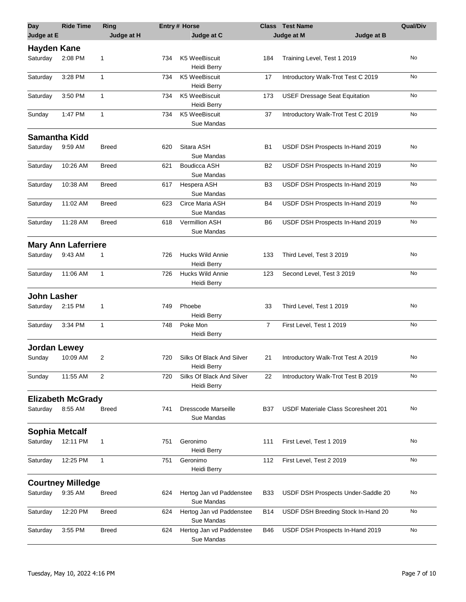| <b>Day</b><br>Judge at E | <b>Ride Time</b>           | Ring<br>Judge at H |     | <b>Entry # Horse</b><br>Judge at C       |                | <b>Class</b> Test Name<br>Judge at B<br>Judge at M | <b>Qual/Div</b> |
|--------------------------|----------------------------|--------------------|-----|------------------------------------------|----------------|----------------------------------------------------|-----------------|
| <b>Hayden Kane</b>       |                            |                    |     |                                          |                |                                                    |                 |
| Saturday                 | 2:08 PM                    | 1                  | 734 | K5 WeeBiscuit<br>Heidi Berry             | 184            | Training Level, Test 1 2019                        | No              |
| Saturday                 | 3:28 PM                    | 1                  | 734 | K5 WeeBiscuit<br>Heidi Berry             | 17             | Introductory Walk-Trot Test C 2019                 | No              |
| Saturday                 | 3:50 PM                    | 1                  | 734 | K5 WeeBiscuit<br>Heidi Berry             | 173            | <b>USEF Dressage Seat Equitation</b>               | No              |
| Sunday                   | 1:47 PM                    | 1                  | 734 | K5 WeeBiscuit<br>Sue Mandas              | 37             | Introductory Walk-Trot Test C 2019                 | No              |
| <b>Samantha Kidd</b>     |                            |                    |     |                                          |                |                                                    |                 |
| Saturday                 | 9:59 AM                    | <b>Breed</b>       | 620 | Sitara ASH<br>Sue Mandas                 | <b>B1</b>      | USDF DSH Prospects In-Hand 2019                    | No              |
| Saturday                 | 10:26 AM                   | <b>Breed</b>       | 621 | <b>Boudicca ASH</b><br>Sue Mandas        | B2             | USDF DSH Prospects In-Hand 2019                    | No              |
| Saturday                 | 10:38 AM                   | <b>Breed</b>       | 617 | Hespera ASH<br>Sue Mandas                | B3             | USDF DSH Prospects In-Hand 2019                    | No              |
| Saturday                 | 11:02 AM                   | <b>Breed</b>       | 623 | Circe Maria ASH<br>Sue Mandas            | B4             | USDF DSH Prospects In-Hand 2019                    | No              |
| Saturday                 | 11:28 AM                   | <b>Breed</b>       | 618 | Vermillion ASH<br>Sue Mandas             | B6             | USDF DSH Prospects In-Hand 2019                    | No              |
|                          | <b>Mary Ann Laferriere</b> |                    |     |                                          |                |                                                    |                 |
| Saturday                 | 9:43 AM                    | 1                  | 726 | <b>Hucks Wild Annie</b><br>Heidi Berry   | 133            | Third Level, Test 3 2019                           | No              |
| Saturday                 | 11:06 AM                   | 1                  | 726 | <b>Hucks Wild Annie</b><br>Heidi Berry   | 123            | Second Level, Test 3 2019                          | No              |
| <b>John Lasher</b>       |                            |                    |     |                                          |                |                                                    |                 |
| Saturday                 | 2:15 PM                    | 1                  | 749 | Phoebe<br>Heidi Berry                    | 33             | Third Level, Test 1 2019                           | No              |
| Saturday                 | 3:34 PM                    | 1                  | 748 | Poke Mon<br>Heidi Berry                  | $\overline{7}$ | First Level, Test 1 2019                           | No              |
| <b>Jordan Lewey</b>      |                            |                    |     |                                          |                |                                                    |                 |
| Sunday                   | 10:09 AM                   | 2                  | 720 | Silks Of Black And Silver<br>Heidi Berry | 21             | Introductory Walk-Trot Test A 2019                 | No              |
| Sunday                   | 11:55 AM                   | 2                  | 720 | Silks Of Black And Silver<br>Heidi Berry | 22             | Introductory Walk-Trot Test B 2019                 | No              |
|                          | <b>Elizabeth McGrady</b>   |                    |     |                                          |                |                                                    |                 |
| Saturday                 | 8:55 AM                    | <b>Breed</b>       | 741 | Dresscode Marseille<br>Sue Mandas        | B37            | USDF Materiale Class Scoresheet 201                | No              |
| <b>Sophia Metcalf</b>    |                            |                    |     |                                          |                |                                                    |                 |
| Saturday                 | 12:11 PM                   | 1                  | 751 | Geronimo<br><b>Heidi Berry</b>           | 111            | First Level, Test 1 2019                           | No              |
| Saturday                 | 12:25 PM                   | 1                  | 751 | Geronimo<br>Heidi Berry                  | 112            | First Level, Test 2 2019                           | No              |
|                          | <b>Courtney Milledge</b>   |                    |     |                                          |                |                                                    |                 |
| Saturday                 | 9:35 AM                    | <b>Breed</b>       | 624 | Hertog Jan vd Paddenstee<br>Sue Mandas   | B33            | USDF DSH Prospects Under-Saddle 20                 | No              |
| Saturday                 | 12:20 PM                   | Breed              | 624 | Hertog Jan vd Paddenstee<br>Sue Mandas   | B14            | USDF DSH Breeding Stock In-Hand 20                 | No              |
| Saturday                 | 3:55 PM                    | Breed              | 624 | Hertog Jan vd Paddenstee<br>Sue Mandas   | <b>B46</b>     | USDF DSH Prospects In-Hand 2019                    | No              |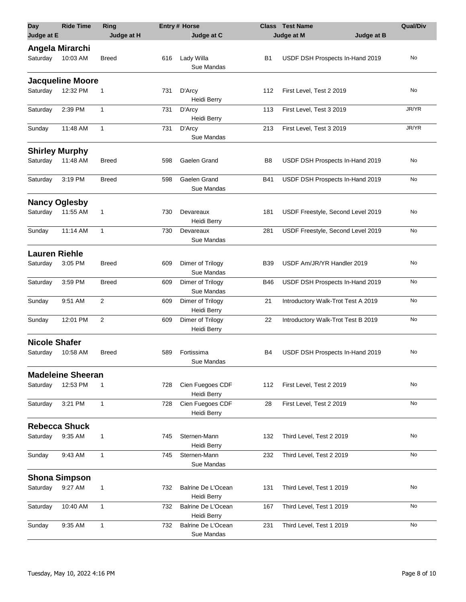| <b>Day</b><br>Judge at E | <b>Ride Time</b>         | Ring<br>Judge at H |     | <b>Entry # Horse</b><br>Judge at C |            | <b>Class</b> Test Name<br>Judge at B<br>Judge at M | <b>Qual/Div</b> |
|--------------------------|--------------------------|--------------------|-----|------------------------------------|------------|----------------------------------------------------|-----------------|
|                          | Angela Mirarchi          |                    |     |                                    |            |                                                    |                 |
| Saturday                 | 10:03 AM                 | Breed              | 616 | Lady Willa<br>Sue Mandas           | B1         | USDF DSH Prospects In-Hand 2019                    | No              |
|                          | <b>Jacqueline Moore</b>  |                    |     |                                    |            |                                                    |                 |
| Saturday                 | 12:32 PM                 | 1                  | 731 | D'Arcy<br>Heidi Berry              | 112        | First Level, Test 2 2019                           | No              |
| Saturday                 | 2:39 PM                  | 1                  | 731 | D'Arcy<br>Heidi Berry              | 113        | First Level, Test 3 2019                           | JR/YR           |
| Sunday                   | 11:48 AM                 | 1                  | 731 | D'Arcy<br>Sue Mandas               | 213        | First Level, Test 3 2019                           | JR/YR           |
|                          | <b>Shirley Murphy</b>    |                    |     |                                    |            |                                                    |                 |
| Saturday                 | 11:48 AM                 | Breed              | 598 | Gaelen Grand                       | B8         | USDF DSH Prospects In-Hand 2019                    | No              |
| Saturday                 | 3:19 PM                  | <b>Breed</b>       | 598 | Gaelen Grand<br>Sue Mandas         | <b>B41</b> | USDF DSH Prospects In-Hand 2019                    | No              |
|                          | <b>Nancy Oglesby</b>     |                    |     |                                    |            |                                                    |                 |
| Saturday                 | 11:55 AM                 | 1                  | 730 | Devareaux<br>Heidi Berry           | 181        | USDF Freestyle, Second Level 2019                  | No              |
| Sunday                   | 11:14 AM                 | $\mathbf{1}$       | 730 | Devareaux<br>Sue Mandas            | 281        | USDF Freestyle, Second Level 2019                  | No              |
| <b>Lauren Riehle</b>     |                          |                    |     |                                    |            |                                                    |                 |
| Saturday                 | 3:05 PM                  | <b>Breed</b>       | 609 | Dimer of Trilogy<br>Sue Mandas     | <b>B39</b> | USDF Am/JR/YR Handler 2019                         | No              |
| Saturday                 | 3:59 PM                  | Breed              | 609 | Dimer of Trilogy<br>Sue Mandas     | <b>B46</b> | USDF DSH Prospects In-Hand 2019                    | No              |
| Sunday                   | 9:51 AM                  | 2                  | 609 | Dimer of Trilogy<br>Heidi Berry    | 21         | Introductory Walk-Trot Test A 2019                 | No              |
| Sunday                   | 12:01 PM                 | $\overline{2}$     | 609 | Dimer of Trilogy<br>Heidi Berry    | 22         | Introductory Walk-Trot Test B 2019                 | No              |
| <b>Nicole Shafer</b>     |                          |                    |     |                                    |            |                                                    |                 |
| Saturday                 | 10:58 AM                 | <b>Breed</b>       | 589 | Fortissima<br>Sue Mandas           | <b>B4</b>  | USDF DSH Prospects In-Hand 2019                    | No              |
|                          | <b>Madeleine Sheeran</b> |                    |     |                                    |            |                                                    |                 |
| Saturday                 | 12:53 PM                 | 1                  | 728 | Cien Fuegoes CDF<br>Heidi Berry    | 112        | First Level, Test 2 2019                           | No              |
| Saturday                 | 3:21 PM                  | $\mathbf{1}$       | 728 | Cien Fuegoes CDF<br>Heidi Berry    | 28         | First Level, Test 2 2019                           | No              |
|                          | <b>Rebecca Shuck</b>     |                    |     |                                    |            |                                                    |                 |
| Saturday                 | 9:35 AM                  | 1                  | 745 | Sternen-Mann<br>Heidi Berry        | 132        | Third Level, Test 2 2019                           | No              |
| Sunday                   | 9:43 AM                  | 1                  | 745 | Sternen-Mann<br>Sue Mandas         | 232        | Third Level, Test 2 2019                           | No              |
|                          | <b>Shona Simpson</b>     |                    |     |                                    |            |                                                    |                 |
| Saturday                 | 9:27 AM                  | 1                  | 732 | Balrine De L'Ocean<br>Heidi Berry  | 131        | Third Level, Test 1 2019                           | No              |
| Saturday                 | 10:40 AM                 | 1                  | 732 | Balrine De L'Ocean<br>Heidi Berry  | 167        | Third Level, Test 1 2019                           | No              |
| Sunday                   | 9:35 AM                  | 1                  | 732 | Balrine De L'Ocean<br>Sue Mandas   | 231        | Third Level, Test 1 2019                           | No              |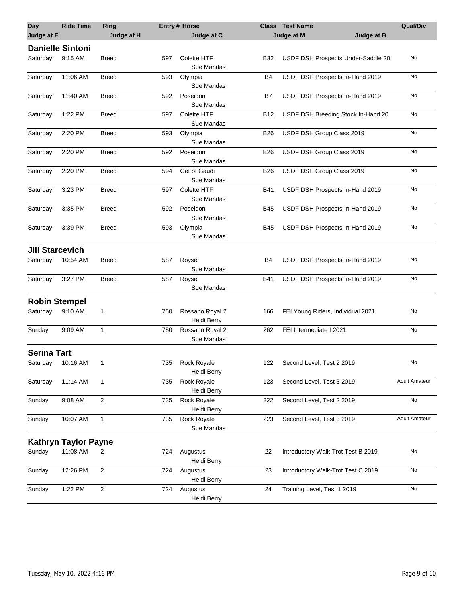| <b>Day</b>              | <b>Ride Time</b>            | Ring                    |     | <b>Entry# Horse</b>               |            | <b>Class</b> Test Name             | <b>Qual/Div</b>      |
|-------------------------|-----------------------------|-------------------------|-----|-----------------------------------|------------|------------------------------------|----------------------|
| Judge at E              |                             | Judge at H              |     | Judge at C                        |            | Judge at M<br>Judge at B           |                      |
| <b>Danielle Sintoni</b> |                             |                         |     |                                   |            |                                    |                      |
| Saturday                | 9:15 AM                     | <b>Breed</b>            | 597 | <b>Colette HTF</b><br>Sue Mandas  | B32        | USDF DSH Prospects Under-Saddle 20 | No                   |
| Saturday                | 11:06 AM                    | <b>Breed</b>            | 593 | Olympia<br>Sue Mandas             | B4         | USDF DSH Prospects In-Hand 2019    | No                   |
| Saturday                | 11:40 AM                    | <b>Breed</b>            | 592 | Poseidon<br>Sue Mandas            | B7         | USDF DSH Prospects In-Hand 2019    | No                   |
| Saturday                | 1:22 PM                     | <b>Breed</b>            | 597 | Colette HTF<br>Sue Mandas         | B12        | USDF DSH Breeding Stock In-Hand 20 | No                   |
| Saturday                | 2:20 PM                     | <b>Breed</b>            | 593 | Olympia<br>Sue Mandas             | B26        | USDF DSH Group Class 2019          | No                   |
| Saturday                | 2:20 PM                     | <b>Breed</b>            | 592 | Poseidon<br>Sue Mandas            | <b>B26</b> | USDF DSH Group Class 2019          | No                   |
| Saturday                | 2:20 PM                     | <b>Breed</b>            | 594 | Get of Gaudi<br>Sue Mandas        | <b>B26</b> | USDF DSH Group Class 2019          | No                   |
| Saturday                | 3:23 PM                     | <b>Breed</b>            | 597 | <b>Colette HTF</b><br>Sue Mandas  | B41        | USDF DSH Prospects In-Hand 2019    | No                   |
| Saturday                | 3:35 PM                     | <b>Breed</b>            | 592 | Poseidon<br>Sue Mandas            | B45        | USDF DSH Prospects In-Hand 2019    | No                   |
| Saturday                | 3:39 PM                     | <b>Breed</b>            | 593 | Olympia<br>Sue Mandas             | <b>B45</b> | USDF DSH Prospects In-Hand 2019    | No                   |
| <b>Jill Starcevich</b>  |                             |                         |     |                                   |            |                                    |                      |
| Saturday                | 10:54 AM                    | <b>Breed</b>            | 587 | Royse<br>Sue Mandas               | B4         | USDF DSH Prospects In-Hand 2019    | No                   |
| Saturday                | 3:27 PM                     | <b>Breed</b>            | 587 | Royse<br>Sue Mandas               | <b>B41</b> | USDF DSH Prospects In-Hand 2019    | No                   |
| <b>Robin Stempel</b>    |                             |                         |     |                                   |            |                                    |                      |
| Saturday                | 9:10 AM                     | 1                       | 750 | Rossano Royal 2<br>Heidi Berry    | 166        | FEI Young Riders, Individual 2021  | No                   |
| Sunday                  | 9:09 AM                     | 1                       | 750 | Rossano Royal 2<br>Sue Mandas     | 262        | FEI Intermediate I 2021            | No                   |
| <b>Serina Tart</b>      |                             |                         |     |                                   |            |                                    |                      |
| Saturday 10:16 AM       |                             |                         | 735 | <b>Rock Royale</b><br>Heidi Berry | 122        | Second Level, Test 2 2019          | No                   |
| Saturday                | 11:14 AM                    | 1                       | 735 | Rock Royale<br>Heidi Berry        | 123        | Second Level, Test 3 2019          | <b>Adult Amateur</b> |
| Sunday                  | 9:08 AM                     | $\overline{\mathbf{c}}$ | 735 | Rock Royale<br>Heidi Berry        | 222        | Second Level, Test 2 2019          | No                   |
| Sunday                  | 10:07 AM                    | 1                       | 735 | Rock Royale<br>Sue Mandas         | 223        | Second Level, Test 3 2019          | <b>Adult Amateur</b> |
|                         | <b>Kathryn Taylor Payne</b> |                         |     |                                   |            |                                    |                      |
| Sunday                  | 11:08 AM                    | 2                       | 724 | Augustus<br>Heidi Berry           | 22         | Introductory Walk-Trot Test B 2019 | No                   |
| Sunday                  | 12:26 PM                    | 2                       | 724 | Augustus<br>Heidi Berry           | 23         | Introductory Walk-Trot Test C 2019 | No                   |
| Sunday                  | 1:22 PM                     | 2                       | 724 | Augustus<br>Heidi Berry           | 24         | Training Level, Test 1 2019        | No                   |